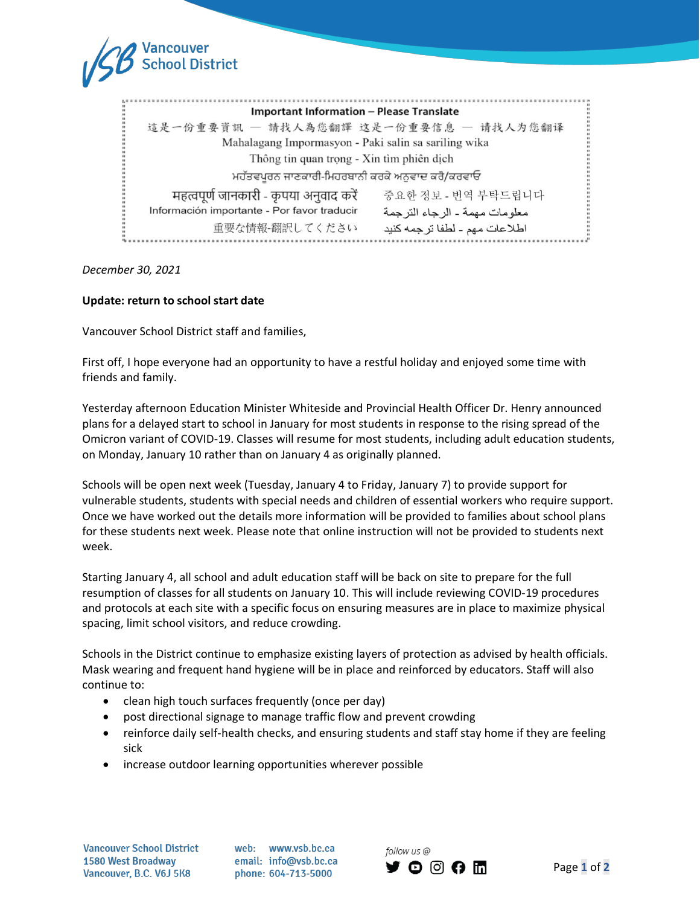

*December 30, 2021*

## **Update: return to school start date**

Vancouver School District staff and families,

First off, I hope everyone had an opportunity to have a restful holiday and enjoyed some time with friends and family.

Yesterday afternoon Education Minister Whiteside and Provincial Health Officer Dr. Henry announced plans for a delayed start to school in January for most students in response to the rising spread of the Omicron variant of COVID-19. Classes will resume for most students, including adult education students, on Monday, January 10 rather than on January 4 as originally planned.

Schools will be open next week (Tuesday, January 4 to Friday, January 7) to provide support for vulnerable students, students with special needs and children of essential workers who require support. Once we have worked out the details more information will be provided to families about school plans for these students next week. Please note that online instruction will not be provided to students next week.

Starting January 4, all school and adult education staff will be back on site to prepare for the full resumption of classes for all students on January 10. This will include reviewing COVID-19 procedures and protocols at each site with a specific focus on ensuring measures are in place to maximize physical spacing, limit school visitors, and reduce crowding.

Schools in the District continue to emphasize existing layers of protection as advised by health officials. Mask wearing and frequent hand hygiene will be in place and reinforced by educators. Staff will also continue to:

- clean high touch surfaces frequently (once per day)
- post directional signage to manage traffic flow and prevent crowding
- reinforce daily self-health checks, and ensuring students and staff stay home if they are feeling sick
- increase outdoor learning opportunities wherever possible

**Vancouver School District 1580 West Broadway** 1580 West Broadway<br>Vancouver, B.C. V6J 5K8

web: www.vsb.bc.ca email: info@vsb.bc.ca phone: 604-713-5000

follow us @ **y o g a m**